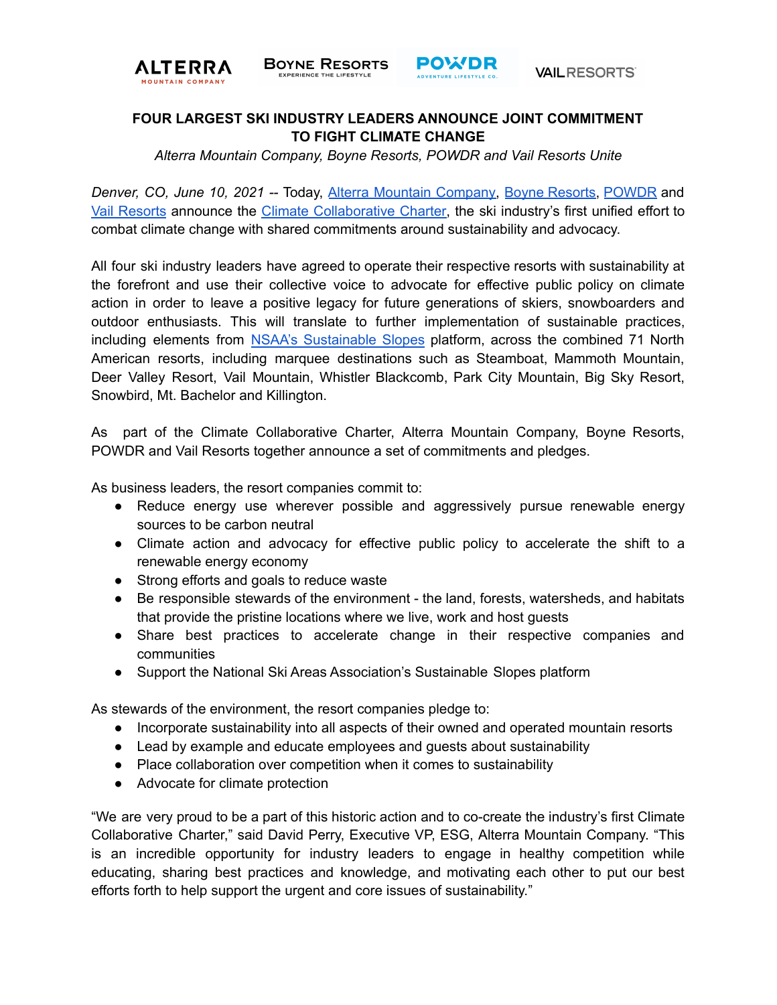

**BOYNE RESORTS** 



# **FOUR LARGEST SKI INDUSTRY LEADERS ANNOUNCE JOINT COMMITMENT TO FIGHT CLIMATE CHANGE**

*Alterra Mountain Company, Boyne Resorts, POWDR and Vail Resorts Unite*

*Denver, CO, June 10, 2021 --* Today, Alterra Mountain [Company,](http://www.alterramtnco.com) Boyne [Resorts,](https://www.boyneresorts.com/) [POWDR](https://www.powdr.com/) and Vail [Resorts](http://www.vailresorts.com/Corp/index.aspx) announce the Climate [Collaborative](https://www.alterramtnco.com/assets/Climate-Charter-Pledge.pdf) Charter, the ski industry's first unified effort to combat climate change with shared commitments around sustainability and advocacy.

All four ski industry leaders have agreed to operate their respective resorts with sustainability at the forefront and use their collective voice to advocate for effective public policy on climate action in order to leave a positive legacy for future generations of skiers, snowboarders and outdoor enthusiasts. This will translate to further implementation of sustainable practices, including elements from NSAA's [Sustainable](https://www.nsaa.org/NSAA/Sustainability/Sustainable_Slopes/NSAA/Sustainability/Sustainable_Slopes.aspx) Slopes platform, across the combined 71 North American resorts, including marquee destinations such as Steamboat, Mammoth Mountain, Deer Valley Resort, Vail Mountain, Whistler Blackcomb, Park City Mountain, Big Sky Resort, Snowbird, Mt. Bachelor and Killington.

As part of the Climate Collaborative Charter, Alterra Mountain Company, Boyne Resorts, POWDR and Vail Resorts together announce a set of commitments and pledges.

As business leaders, the resort companies commit to:

- Reduce energy use wherever possible and aggressively pursue renewable energy sources to be carbon neutral
- Climate action and advocacy for effective public policy to accelerate the shift to a renewable energy economy
- Strong efforts and goals to reduce waste
- Be responsible stewards of the environment the land, forests, watersheds, and habitats that provide the pristine locations where we live, work and host guests
- Share best practices to accelerate change in their respective companies and communities
- Support the National Ski Areas Association's Sustainable Slopes platform

As stewards of the environment, the resort companies pledge to:

- Incorporate sustainability into all aspects of their owned and operated mountain resorts
- Lead by example and educate employees and guests about sustainability
- Place collaboration over competition when it comes to sustainability
- Advocate for climate protection

"We are very proud to be a part of this historic action and to co-create the industry's first Climate Collaborative Charter," said David Perry, Executive VP, ESG, Alterra Mountain Company. "This is an incredible opportunity for industry leaders to engage in healthy competition while educating, sharing best practices and knowledge, and motivating each other to put our best efforts forth to help support the urgent and core issues of sustainability."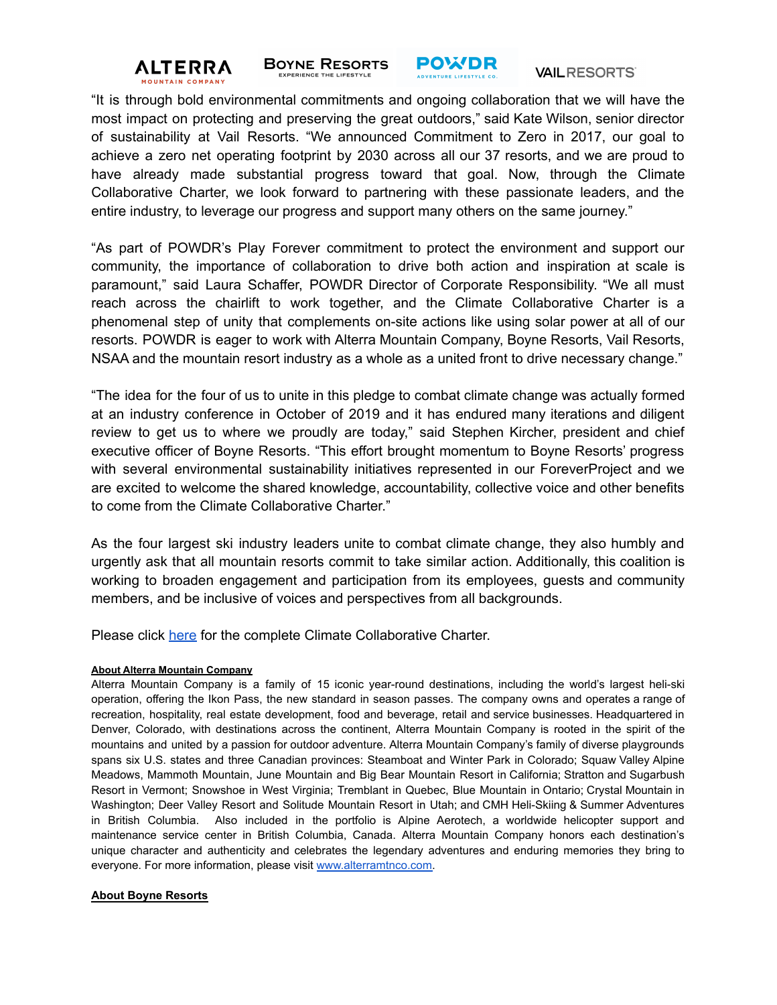

**BOYNE RESORTS** 

**POWDR** 

# **VAILRESORTS**

"It is through bold environmental commitments and ongoing collaboration that we will have the most impact on protecting and preserving the great outdoors," said Kate Wilson, senior director of sustainability at Vail Resorts. "We announced Commitment to Zero in 2017, our goal to achieve a zero net operating footprint by 2030 across all our 37 resorts, and we are proud to have already made substantial progress toward that goal. Now, through the Climate Collaborative Charter, we look forward to partnering with these passionate leaders, and the entire industry, to leverage our progress and support many others on the same journey."

"As part of POWDR's Play Forever commitment to protect the environment and support our community, the importance of collaboration to drive both action and inspiration at scale is paramount," said Laura Schaffer, POWDR Director of Corporate Responsibility. "We all must reach across the chairlift to work together, and the Climate Collaborative Charter is a phenomenal step of unity that complements on-site actions like using solar power at all of our resorts. POWDR is eager to work with Alterra Mountain Company, Boyne Resorts, Vail Resorts, NSAA and the mountain resort industry as a whole as a united front to drive necessary change."

"The idea for the four of us to unite in this pledge to combat climate change was actually formed at an industry conference in October of 2019 and it has endured many iterations and diligent review to get us to where we proudly are today," said Stephen Kircher, president and chief executive officer of Boyne Resorts. "This effort brought momentum to Boyne Resorts' progress with several environmental sustainability initiatives represented in our ForeverProject and we are excited to welcome the shared knowledge, accountability, collective voice and other benefits to come from the Climate Collaborative Charter."

As the four largest ski industry leaders unite to combat climate change, they also humbly and urgently ask that all mountain resorts commit to take similar action. Additionally, this coalition is working to broaden engagement and participation from its employees, guests and community members, and be inclusive of voices and perspectives from all backgrounds.

Please click [here](https://www.alterramtnco.com/assets/Climate-Charter-Pledge.pdf) for the complete Climate Collaborative Charter.

## **About Alterra Mountain Company**

Alterra Mountain Company is a family of 15 iconic year-round destinations, including the world's largest heli-ski operation, offering the Ikon Pass, the new standard in season passes. The company owns and operates a range of recreation, hospitality, real estate development, food and beverage, retail and service businesses. Headquartered in Denver, Colorado, with destinations across the continent, Alterra Mountain Company is rooted in the spirit of the mountains and united by a passion for outdoor adventure. Alterra Mountain Company's family of diverse playgrounds spans six U.S. states and three Canadian provinces: Steamboat and Winter Park in Colorado; Squaw Valley Alpine Meadows, Mammoth Mountain, June Mountain and Big Bear Mountain Resort in California; Stratton and Sugarbush Resort in Vermont; Snowshoe in West Virginia; Tremblant in Quebec, Blue Mountain in Ontario; Crystal Mountain in Washington; Deer Valley Resort and Solitude Mountain Resort in Utah; and CMH Heli-Skiing & Summer Adventures in British Columbia. Also included in the portfolio is Alpine Aerotech, a worldwide helicopter support and maintenance service center in British Columbia, Canada. Alterra Mountain Company honors each destination's unique character and authenticity and celebrates the legendary adventures and enduring memories they bring to everyone. For more information, please visit [www.alterramtnco.com.](http://www.alterramtnco.com)

#### **About Boyne Resorts**